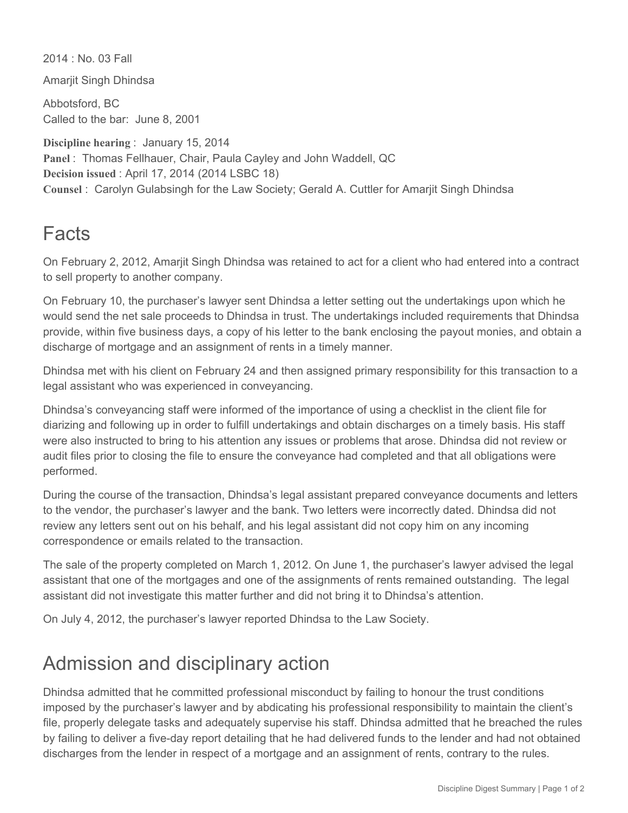2014 : No. 03 Fall

Amarjit Singh Dhindsa

Abbotsford, BC Called to the bar: June 8, 2001

**Discipline hearing** : January 15, 2014 **Panel** : Thomas Fellhauer, Chair, Paula Cayley and John Waddell, QC **Decision issued** : April 17, 2014 (2014 LSBC 18) **Counsel** : Carolyn Gulabsingh for the Law Society; Gerald A. Cuttler for Amarjit Singh Dhindsa

## **Facts**

On February 2, 2012, Amarjit Singh Dhindsa was retained to act for a client who had entered into a contract to sell property to another company.

On February 10, the purchaser's lawyer sent Dhindsa a letter setting out the undertakings upon which he would send the net sale proceeds to Dhindsa in trust. The undertakings included requirements that Dhindsa provide, within five business days, a copy of his letter to the bank enclosing the payout monies, and obtain a discharge of mortgage and an assignment of rents in a timely manner.

Dhindsa met with his client on February 24 and then assigned primary responsibility for this transaction to a legal assistant who was experienced in conveyancing.

Dhindsa's conveyancing staff were informed of the importance of using a checklist in the client file for diarizing and following up in order to fulfill undertakings and obtain discharges on a timely basis. His staff were also instructed to bring to his attention any issues or problems that arose. Dhindsa did not review or audit files prior to closing the file to ensure the conveyance had completed and that all obligations were performed.

During the course of the transaction, Dhindsa's legal assistant prepared conveyance documents and letters to the vendor, the purchaser's lawyer and the bank. Two letters were incorrectly dated. Dhindsa did not review any letters sent out on his behalf, and his legal assistant did not copy him on any incoming correspondence or emails related to the transaction.

The sale of the property completed on March 1, 2012. On June 1, the purchaser's lawyer advised the legal assistant that one of the mortgages and one of the assignments of rents remained outstanding. The legal assistant did not investigate this matter further and did not bring it to Dhindsa's attention.

On July 4, 2012, the purchaser's lawyer reported Dhindsa to the Law Society.

## Admission and disciplinary action

Dhindsa admitted that he committed professional misconduct by failing to honour the trust conditions imposed by the purchaser's lawyer and by abdicating his professional responsibility to maintain the client's file, properly delegate tasks and adequately supervise his staff. Dhindsa admitted that he breached the rules by failing to deliver a five-day report detailing that he had delivered funds to the lender and had not obtained discharges from the lender in respect of a mortgage and an assignment of rents, contrary to the rules.